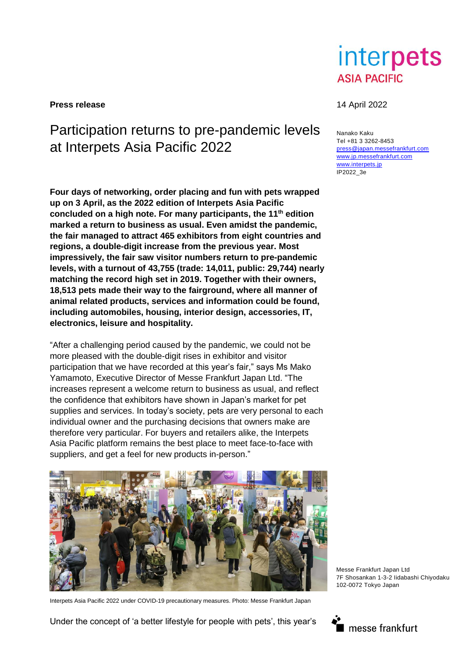

**Press release** 14 April 2022

# Participation returns to pre-pandemic levels at Interpets Asia Pacific 2022

**Four days of networking, order placing and fun with pets wrapped up on 3 April, as the 2022 edition of Interpets Asia Pacific concluded on a high note. For many participants, the 11th edition marked a return to business as usual. Even amidst the pandemic, the fair managed to attract 465 exhibitors from eight countries and regions, a double-digit increase from the previous year. Most impressively, the fair saw visitor numbers return to pre-pandemic levels, with a turnout of 43,755 (trade: 14,011, public: 29,744) nearly matching the record high set in 2019. Together with their owners, 18,513 pets made their way to the fairground, where all manner of animal related products, services and information could be found, including automobiles, housing, interior design, accessories, IT, electronics, leisure and hospitality.**

"After a challenging period caused by the pandemic, we could not be more pleased with the double-digit rises in exhibitor and visitor participation that we have recorded at this year's fair," says Ms Mako Yamamoto, Executive Director of Messe Frankfurt Japan Ltd. "The increases represent a welcome return to business as usual, and reflect the confidence that exhibitors have shown in Japan's market for pet supplies and services. In today's society, pets are very personal to each individual owner and the purchasing decisions that owners make are therefore very particular. For buyers and retailers alike, the Interpets Asia Pacific platform remains the best place to meet face-to-face with suppliers, and get a feel for new products in-person."



Interpets Asia Pacific 2022 under COVID-19 precautionary measures. Photo: Messe Frankfurt Japan

Under the concept of 'a better lifestyle for people with pets', this year's

Nanako Kaku Tel +81 3 3262-8453 [press@japan.messefrankfurt.com](mailto:press@japan.messefrankfurt.com) [www.jp.messefrankfurt.com](http://www.jp.messefrankfurt.com/) [www.interpets.jp](http://www.interpets.jp/) IP2022\_3e



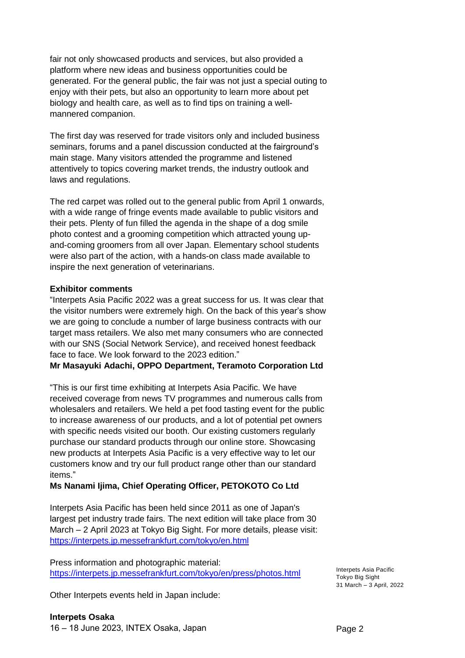fair not only showcased products and services, but also provided a platform where new ideas and business opportunities could be generated. For the general public, the fair was not just a special outing to enjoy with their pets, but also an opportunity to learn more about pet biology and health care, as well as to find tips on training a wellmannered companion.

The first day was reserved for trade visitors only and included business seminars, forums and a panel discussion conducted at the fairground's main stage. Many visitors attended the programme and listened attentively to topics covering market trends, the industry outlook and laws and regulations.

The red carpet was rolled out to the general public from April 1 onwards, with a wide range of fringe events made available to public visitors and their pets. Plenty of fun filled the agenda in the shape of a dog smile photo contest and a grooming competition which attracted young upand-coming groomers from all over Japan. Elementary school students were also part of the action, with a hands-on class made available to inspire the next generation of veterinarians.

### **Exhibitor comments**

"Interpets Asia Pacific 2022 was a great success for us. It was clear that the visitor numbers were extremely high. On the back of this year's show we are going to conclude a number of large business contracts with our target mass retailers. We also met many consumers who are connected with our SNS (Social Network Service), and received honest feedback face to face. We look forward to the 2023 edition."

**Mr Masayuki Adachi, OPPO Department, Teramoto Corporation Ltd** 

"This is our first time exhibiting at Interpets Asia Pacific. We have received coverage from news TV programmes and numerous calls from wholesalers and retailers. We held a pet food tasting event for the public to increase awareness of our products, and a lot of potential pet owners with specific needs visited our booth. Our existing customers regularly purchase our standard products through our online store. Showcasing new products at Interpets Asia Pacific is a very effective way to let our customers know and try our full product range other than our standard items."

## **Ms Nanami Ijima, Chief Operating Officer, PETOKOTO Co Ltd**

Interpets Asia Pacific has been held since 2011 as one of Japan's largest pet industry trade fairs. The next edition will take place from 30 March – 2 April 2023 at Tokyo Big Sight. For more details, please visit: <https://interpets.jp.messefrankfurt.com/tokyo/en.html>

Press information and photographic material: <https://interpets.jp.messefrankfurt.com/tokyo/en/press/photos.html>

Other Interpets events held in Japan include:

Interpets Asia Pacific Tokyo Big Sight 31 March – 3 April, 2022